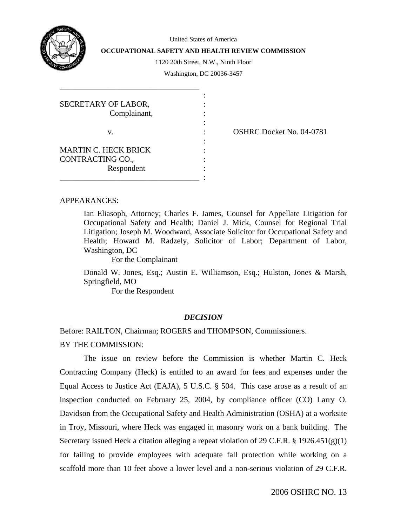

United States of America

**OCCUPATIONAL SAFETY AND HEALTH REVIEW COMMISSION** 

1120 20th Street, N.W., Ninth Floor

Washington, DC 20036-3457

| SECRETARY OF LABOR,         |  |
|-----------------------------|--|
| Complainant,                |  |
|                             |  |
| V.                          |  |
|                             |  |
| <b>MARTIN C. HECK BRICK</b> |  |
| CONTRACTING CO.,            |  |
| Respondent                  |  |
|                             |  |

\_\_\_\_\_\_\_\_\_\_\_\_\_\_\_\_\_\_\_\_\_\_\_\_\_\_\_\_\_\_\_\_\_\_\_

: OSHRC Docket No. 04-0781

## APPEARANCES:

Ian Eliasoph, Attorney; Charles F. James, Counsel for Appellate Litigation for Occupational Safety and Health; Daniel J. Mick, Counsel for Regional Trial Litigation; Joseph M. Woodward, Associate Solicitor for Occupational Safety and Health; Howard M. Radzely, Solicitor of Labor; Department of Labor, Washington, DC

For the Complainant

Donald W. Jones, Esq.; Austin E. Williamson, Esq.; Hulston, Jones & Marsh, Springfield, MO

For the Respondent

## *DECISION*

Before: RAILTON, Chairman; ROGERS and THOMPSON, Commissioners.

## BY THE COMMISSION:

 The issue on review before the Commission is whether Martin C. Heck Contracting Company (Heck) is entitled to an award for fees and expenses under the Equal Access to Justice Act (EAJA), 5 U.S.C. § 504. This case arose as a result of an inspection conducted on February 25, 2004, by compliance officer (CO) Larry O. Davidson from the Occupational Safety and Health Administration (OSHA) at a worksite in Troy, Missouri, where Heck was engaged in masonry work on a bank building. The Secretary issued Heck a citation alleging a repeat violation of 29 C.F.R. § 1926.451(g)(1) for failing to provide employees with adequate fall protection while working on a scaffold more than 10 feet above a lower level and a non-serious violation of 29 C.F.R.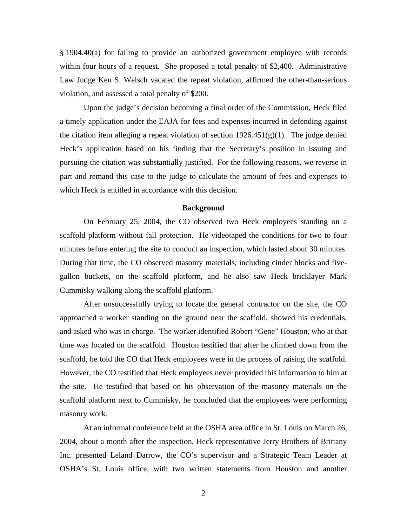§ 1904.40(a) for failing to provide an authorized government employee with records within four hours of a request. She proposed a total penalty of \$2,400. Administrative Law Judge Ken S. Welsch vacated the repeat violation, affirmed the other-than-serious violation, and assessed a total penalty of \$200.

 Upon the judge's decision becoming a final order of the Commission, Heck filed a timely application under the EAJA for fees and expenses incurred in defending against the citation item alleging a repeat violation of section  $1926.451(g)(1)$ . The judge denied Heck's application based on his finding that the Secretary's position in issuing and pursuing the citation was substantially justified. For the following reasons, we reverse in part and remand this case to the judge to calculate the amount of fees and expenses to which Heck is entitled in accordance with this decision.

### **Background**

 On February 25, 2004, the CO observed two Heck employees standing on a scaffold platform without fall protection. He videotaped the conditions for two to four minutes before entering the site to conduct an inspection, which lasted about 30 minutes. During that time, the CO observed masonry materials, including cinder blocks and fivegallon buckets, on the scaffold platform, and he also saw Heck bricklayer Mark Cummisky walking along the scaffold platform.

 After unsuccessfully trying to locate the general contractor on the site, the CO approached a worker standing on the ground near the scaffold, showed his credentials, and asked who was in charge. The worker identified Robert "Gene" Houston, who at that time was located on the scaffold. Houston testified that after he climbed down from the scaffold, he told the CO that Heck employees were in the process of raising the scaffold. However, the CO testified that Heck employees never provided this information to him at the site. He testified that based on his observation of the masonry materials on the scaffold platform next to Cummisky, he concluded that the employees were performing masonry work.

 At an informal conference held at the OSHA area office in St. Louis on March 26, 2004, about a month after the inspection, Heck representative Jerry Brothers of Brittany Inc. presented Leland Darrow, the CO's supervisor and a Strategic Team Leader at OSHA's St. Louis office, with two written statements from Houston and another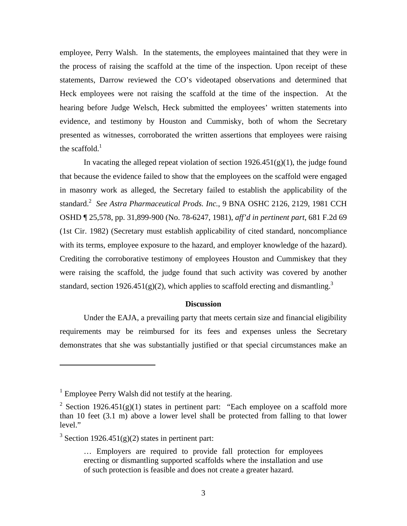employee, Perry Walsh. In the statements, the employees maintained that they were in the process of raising the scaffold at the time of the inspection. Upon receipt of these statements, Darrow reviewed the CO's videotaped observations and determined that Heck employees were not raising the scaffold at the time of the inspection. At the hearing before Judge Welsch, Heck submitted the employees' written statements into evidence, and testimony by Houston and Cummisky, both of whom the Secretary presented as witnesses, corroborated the written assertions that employees were raising the scaffold. $<sup>1</sup>$ </sup>

In vacating the alleged repeat violation of section  $1926.451(g)(1)$ , the judge found that because the evidence failed to show that the employees on the scaffold were engaged in masonry work as alleged, the Secretary failed to establish the applicability of the standard.<sup>[2](#page-2-1)</sup> See Astra Pharmaceutical Prods. Inc., 9 BNA OSHC 2126, 2129, 1981 CCH OSHD ¶ 25,578, pp. 31,899-900 (No. 78-6247, 1981), *aff'd in pertinent part*, 681 F.2d 69 (1st Cir. 1982) (Secretary must establish applicability of cited standard, noncompliance with its terms, employee exposure to the hazard, and employer knowledge of the hazard). Crediting the corroborative testimony of employees Houston and Cummiskey that they were raising the scaffold, the judge found that such activity was covered by another standard, section 1926.451(g)(2), which applies to scaffold erecting and dismantling.<sup>[3](#page-2-2)</sup>

### **Discussion**

 Under the EAJA, a prevailing party that meets certain size and financial eligibility requirements may be reimbursed for its fees and expenses unless the Secretary demonstrates that she was substantially justified or that special circumstances make an

<span id="page-2-0"></span> $<sup>1</sup>$  Employee Perry Walsh did not testify at the hearing.</sup>

<span id="page-2-1"></span><sup>&</sup>lt;sup>2</sup> Section 1926.451(g)(1) states in pertinent part: "Each employee on a scaffold more than 10 feet (3.1 m) above a lower level shall be protected from falling to that lower level."

<span id="page-2-2"></span><sup>&</sup>lt;sup>3</sup> Section 1926.451(g)(2) states in pertinent part:

<sup>…</sup> Employers are required to provide fall protection for employees erecting or dismantling supported scaffolds where the installation and use of such protection is feasible and does not create a greater hazard.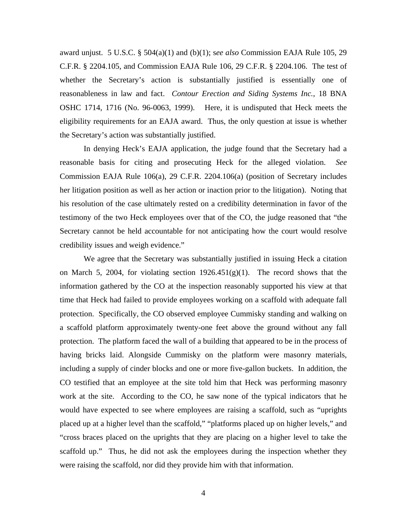award unjust. 5 U.S.C. § 504(a)(1) and (b)(1); s*ee also* Commission EAJA Rule 105, 29 C.F.R. § 2204.105, and Commission EAJA Rule 106, 29 C.F.R. § 2204.106. The test of whether the Secretary's action is substantially justified is essentially one of reasonableness in law and fact. *Contour Erection and Siding Systems Inc.*, 18 BNA OSHC 1714, 1716 (No. 96-0063, 1999). Here, it is undisputed that Heck meets the eligibility requirements for an EAJA award. Thus, the only question at issue is whether the Secretary's action was substantially justified.

 In denying Heck's EAJA application, the judge found that the Secretary had a reasonable basis for citing and prosecuting Heck for the alleged violation. *See*  Commission EAJA Rule 106(a), 29 C.F.R. 2204.106(a) (position of Secretary includes her litigation position as well as her action or inaction prior to the litigation). Noting that his resolution of the case ultimately rested on a credibility determination in favor of the testimony of the two Heck employees over that of the CO, the judge reasoned that "the Secretary cannot be held accountable for not anticipating how the court would resolve credibility issues and weigh evidence."

 We agree that the Secretary was substantially justified in issuing Heck a citation on March 5, 2004, for violating section  $1926.451(g)(1)$ . The record shows that the information gathered by the CO at the inspection reasonably supported his view at that time that Heck had failed to provide employees working on a scaffold with adequate fall protection. Specifically, the CO observed employee Cummisky standing and walking on a scaffold platform approximately twenty-one feet above the ground without any fall protection. The platform faced the wall of a building that appeared to be in the process of having bricks laid. Alongside Cummisky on the platform were masonry materials, including a supply of cinder blocks and one or more five-gallon buckets. In addition, the CO testified that an employee at the site told him that Heck was performing masonry work at the site. According to the CO, he saw none of the typical indicators that he would have expected to see where employees are raising a scaffold, such as "uprights placed up at a higher level than the scaffold," "platforms placed up on higher levels," and "cross braces placed on the uprights that they are placing on a higher level to take the scaffold up." Thus, he did not ask the employees during the inspection whether they were raising the scaffold, nor did they provide him with that information.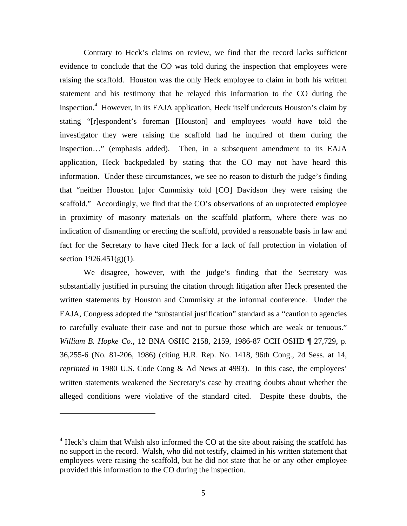Contrary to Heck's claims on review, we find that the record lacks sufficient evidence to conclude that the CO was told during the inspection that employees were raising the scaffold. Houston was the only Heck employee to claim in both his written statement and his testimony that he relayed this information to the CO during the inspection.<sup>[4](#page-4-0)</sup> However, in its EAJA application, Heck itself undercuts Houston's claim by stating "[r]espondent's foreman [Houston] and employees *would have* told the investigator they were raising the scaffold had he inquired of them during the inspection…" (emphasis added). Then, in a subsequent amendment to its EAJA application, Heck backpedaled by stating that the CO may not have heard this information. Under these circumstances, we see no reason to disturb the judge's finding that "neither Houston [n]or Cummisky told [CO] Davidson they were raising the scaffold." Accordingly, we find that the CO's observations of an unprotected employee in proximity of masonry materials on the scaffold platform, where there was no indication of dismantling or erecting the scaffold, provided a reasonable basis in law and fact for the Secretary to have cited Heck for a lack of fall protection in violation of section  $1926.451(g)(1)$ .

 We disagree, however, with the judge's finding that the Secretary was substantially justified in pursuing the citation through litigation after Heck presented the written statements by Houston and Cummisky at the informal conference. Under the EAJA, Congress adopted the "substantial justification" standard as a "caution to agencies to carefully evaluate their case and not to pursue those which are weak or tenuous." *William B. Hopke Co.*, 12 BNA OSHC 2158, 2159, 1986-87 CCH OSHD ¶ 27,729, p. 36,255-6 (No. 81-206, 1986) (citing H.R. Rep. No. 1418, 96th Cong., 2d Sess. at 14, *reprinted in* 1980 U.S. Code Cong & Ad News at 4993). In this case, the employees' written statements weakened the Secretary's case by creating doubts about whether the alleged conditions were violative of the standard cited. Despite these doubts, the

<span id="page-4-0"></span><sup>&</sup>lt;sup>4</sup> Heck's claim that Walsh also informed the CO at the site about raising the scaffold has no support in the record. Walsh, who did not testify, claimed in his written statement that employees were raising the scaffold, but he did not state that he or any other employee provided this information to the CO during the inspection.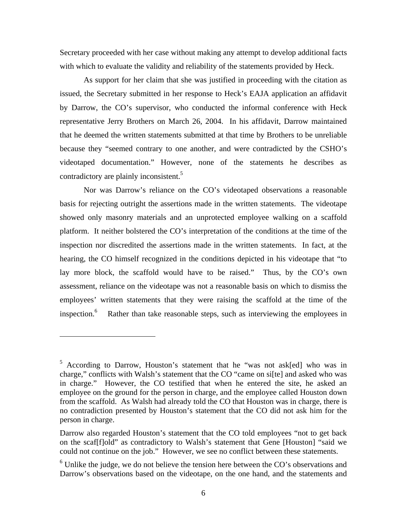Secretary proceeded with her case without making any attempt to develop additional facts with which to evaluate the validity and reliability of the statements provided by Heck.

 As support for her claim that she was justified in proceeding with the citation as issued, the Secretary submitted in her response to Heck's EAJA application an affidavit by Darrow, the CO's supervisor, who conducted the informal conference with Heck representative Jerry Brothers on March 26, 2004. In his affidavit, Darrow maintained that he deemed the written statements submitted at that time by Brothers to be unreliable because they "seemed contrary to one another, and were contradicted by the CSHO's videotaped documentation." However, none of the statements he describes as contradictory are plainly inconsistent.<sup>[5](#page-5-0)</sup>

 Nor was Darrow's reliance on the CO's videotaped observations a reasonable basis for rejecting outright the assertions made in the written statements. The videotape showed only masonry materials and an unprotected employee walking on a scaffold platform. It neither bolstered the CO's interpretation of the conditions at the time of the inspection nor discredited the assertions made in the written statements. In fact, at the hearing, the CO himself recognized in the conditions depicted in his videotape that "to lay more block, the scaffold would have to be raised." Thus, by the CO's own assessment, reliance on the videotape was not a reasonable basis on which to dismiss the employees' written statements that they were raising the scaffold at the time of the inspection.<sup>[6](#page-5-1)</sup> Rather than take reasonable steps, such as interviewing the employees in

<span id="page-5-0"></span><sup>&</sup>lt;sup>5</sup> According to Darrow, Houston's statement that he "was not ask[ed] who was in charge," conflicts with Walsh's statement that the CO "came on si[te] and asked who was in charge." However, the CO testified that when he entered the site, he asked an employee on the ground for the person in charge, and the employee called Houston down from the scaffold. As Walsh had already told the CO that Houston was in charge, there is no contradiction presented by Houston's statement that the CO did not ask him for the person in charge.

Darrow also regarded Houston's statement that the CO told employees "not to get back on the scaf[f]old" as contradictory to Walsh's statement that Gene [Houston] "said we could not continue on the job." However, we see no conflict between these statements.

<span id="page-5-1"></span> $6$  Unlike the judge, we do not believe the tension here between the CO's observations and Darrow's observations based on the videotape, on the one hand, and the statements and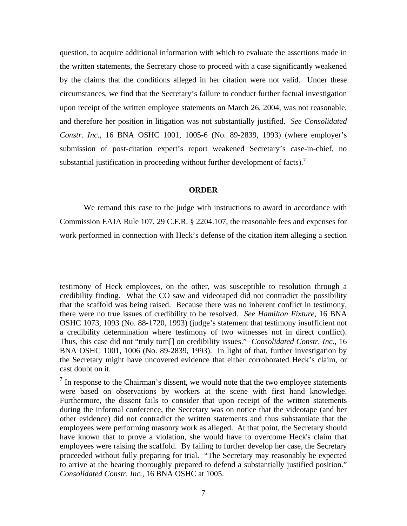question, to acquire additional information with which to evaluate the assertions made in the written statements, the Secretary chose to proceed with a case significantly weakened by the claims that the conditions alleged in her citation were not valid. Under these circumstances, we find that the Secretary's failure to conduct further factual investigation upon receipt of the written employee statements on March 26, 2004, was not reasonable, and therefore her position in litigation was not substantially justified. *See Consolidated Constr. Inc.*, 16 BNA OSHC 1001, 1005-6 (No. 89-2839, 1993) (where employer's submission of post-citation expert's report weakened Secretary's case-in-chief, no substantial justification in proceeding without further development of facts).<sup>[7](#page-6-0)</sup>

### **ORDER**

 We remand this case to the judge with instructions to award in accordance with Commission EAJA Rule 107, 29 C.F.R. § 2204.107, the reasonable fees and expenses for work performed in connection with Heck's defense of the citation item alleging a section

testimony of Heck employees, on the other, was susceptible to resolution through a credibility finding. What the CO saw and videotaped did not contradict the possibility that the scaffold was being raised. Because there was no inherent conflict in testimony, there were no true issues of credibility to be resolved. *See Hamilton Fixture*, 16 BNA OSHC 1073, 1093 (No. 88-1720, 1993) (judge's statement that testimony insufficient not a credibility determination where testimony of two witnesses not in direct conflict). Thus, this case did not "truly turn[] on credibility issues." *Consolidated Constr. Inc.*, 16 BNA OSHC 1001, 1006 (No. 89-2839, 1993). In light of that, further investigation by the Secretary might have uncovered evidence that either corroborated Heck's claim, or cast doubt on it.

<span id="page-6-0"></span> $<sup>7</sup>$  In response to the Chairman's dissent, we would note that the two employee statements</sup> were based on observations by workers at the scene with first hand knowledge. Furthermore, the dissent fails to consider that upon receipt of the written statements during the informal conference, the Secretary was on notice that the videotape (and her other evidence) did not contradict the written statements and thus substantiate that the employees were performing masonry work as alleged. At that point, the Secretary should have known that to prove a violation, she would have to overcome Heck's claim that employees were raising the scaffold. By failing to further develop her case, the Secretary proceeded without fully preparing for trial. "The Secretary may reasonably be expected to arrive at the hearing thoroughly prepared to defend a substantially justified position." *Consolidated Constr. Inc.*, 16 BNA OSHC at 1005.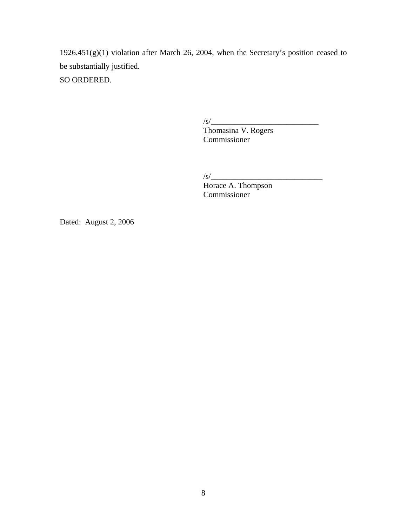1926.451(g)(1) violation after March 26, 2004, when the Secretary's position ceased to be substantially justified.

SO ORDERED.

 $\sqrt{s/2}$ 

 Thomasina V. Rogers Commissioner

 $\frac{1}{s}$ 

Horace A. Thompson Commissioner

Dated: August 2, 2006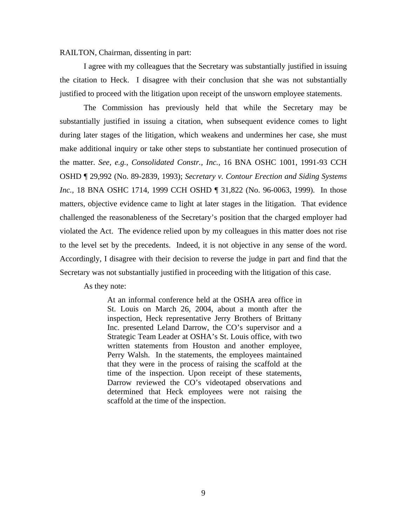RAILTON, Chairman, dissenting in part:

 I agree with my colleagues that the Secretary was substantially justified in issuing the citation to Heck. I disagree with their conclusion that she was not substantially justified to proceed with the litigation upon receipt of the unsworn employee statements.

 The Commission has previously held that while the Secretary may be substantially justified in issuing a citation, when subsequent evidence comes to light during later stages of the litigation, which weakens and undermines her case, she must make additional inquiry or take other steps to substantiate her continued prosecution of the matter. *See, e.g., Consolidated Constr., Inc.,* 16 BNA OSHC 1001, 1991-93 CCH OSHD ¶ 29,992 (No. 89-2839, 1993); *Secretary v. Contour Erection and Siding Systems Inc.,* 18 BNA OSHC 1714, 1999 CCH OSHD ¶ 31,822 (No. 96-0063, 1999). In those matters, objective evidence came to light at later stages in the litigation. That evidence challenged the reasonableness of the Secretary's position that the charged employer had violated the Act. The evidence relied upon by my colleagues in this matter does not rise to the level set by the precedents. Indeed, it is not objective in any sense of the word. Accordingly, I disagree with their decision to reverse the judge in part and find that the Secretary was not substantially justified in proceeding with the litigation of this case.

As they note:

At an informal conference held at the OSHA area office in St. Louis on March 26, 2004, about a month after the inspection, Heck representative Jerry Brothers of Brittany Inc. presented Leland Darrow, the CO's supervisor and a Strategic Team Leader at OSHA's St. Louis office, with two written statements from Houston and another employee, Perry Walsh. In the statements, the employees maintained that they were in the process of raising the scaffold at the time of the inspection. Upon receipt of these statements, Darrow reviewed the CO's videotaped observations and determined that Heck employees were not raising the scaffold at the time of the inspection.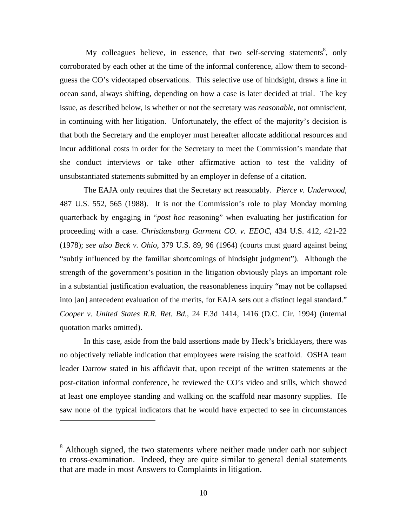My colleagues believe, in essence, that two self-serving statements<sup>8</sup>, only corroborated by each other at the time of the informal conference, allow them to secondguess the CO's videotaped observations. This selective use of hindsight, draws a line in ocean sand, always shifting, depending on how a case is later decided at trial. The key issue, as described below, is whether or not the secretary was *reasonable*, not omniscient, in continuing with her litigation. Unfortunately, the effect of the majority's decision is that both the Secretary and the employer must hereafter allocate additional resources and incur additional costs in order for the Secretary to meet the Commission's mandate that she conduct interviews or take other affirmative action to test the validity of unsubstantiated statements submitted by an employer in defense of a citation.

 The EAJA only requires that the Secretary act reasonably. *Pierce v. Underwood*, 487 U.S. 552, 565 (1988). It is not the Commission's role to play Monday morning quarterback by engaging in "*post hoc* reasoning" when evaluating her justification for proceeding with a case. *Christiansburg Garment CO. v. EEOC*, 434 U.S. 412, 421-22 (1978); *see also Beck v. Ohio*, 379 U.S. 89, 96 (1964) (courts must guard against being "subtly influenced by the familiar shortcomings of hindsight judgment"). Although the strength of the government's position in the litigation obviously plays an important role in a substantial justification evaluation, the reasonableness inquiry "may not be collapsed into [an] antecedent evaluation of the merits, for EAJA sets out a distinct legal standard." *Cooper v. United States R.R. Ret. Bd.*, 24 F.3d 1414, 1416 (D.C. Cir. 1994) (internal quotation marks omitted).

 In this case, aside from the bald assertions made by Heck's bricklayers, there was no objectively reliable indication that employees were raising the scaffold. OSHA team leader Darrow stated in his affidavit that, upon receipt of the written statements at the post-citation informal conference, he reviewed the CO's video and stills, which showed at least one employee standing and walking on the scaffold near masonry supplies. He saw none of the typical indicators that he would have expected to see in circumstances

<span id="page-9-0"></span><sup>&</sup>lt;sup>8</sup> Although signed, the two statements where neither made under oath nor subject to cross-examination. Indeed, they are quite similar to general denial statements that are made in most Answers to Complaints in litigation.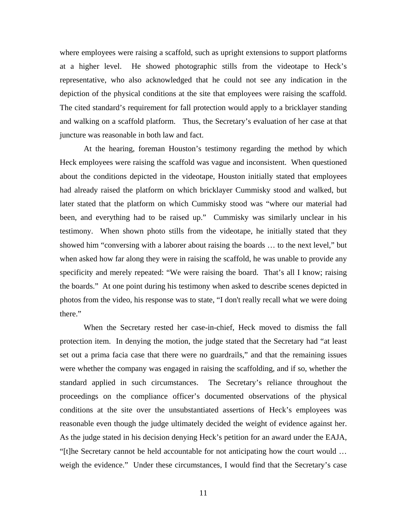where employees were raising a scaffold, such as upright extensions to support platforms at a higher level. He showed photographic stills from the videotape to Heck's representative, who also acknowledged that he could not see any indication in the depiction of the physical conditions at the site that employees were raising the scaffold. The cited standard's requirement for fall protection would apply to a bricklayer standing and walking on a scaffold platform. Thus, the Secretary's evaluation of her case at that juncture was reasonable in both law and fact.

 At the hearing, foreman Houston's testimony regarding the method by which Heck employees were raising the scaffold was vague and inconsistent. When questioned about the conditions depicted in the videotape, Houston initially stated that employees had already raised the platform on which bricklayer Cummisky stood and walked, but later stated that the platform on which Cummisky stood was "where our material had been, and everything had to be raised up." Cummisky was similarly unclear in his testimony. When shown photo stills from the videotape, he initially stated that they showed him "conversing with a laborer about raising the boards … to the next level," but when asked how far along they were in raising the scaffold, he was unable to provide any specificity and merely repeated: "We were raising the board. That's all I know; raising the boards." At one point during his testimony when asked to describe scenes depicted in photos from the video, his response was to state, "I don't really recall what we were doing there."

 When the Secretary rested her case-in-chief, Heck moved to dismiss the fall protection item. In denying the motion, the judge stated that the Secretary had "at least set out a prima facia case that there were no guardrails," and that the remaining issues were whether the company was engaged in raising the scaffolding, and if so, whether the standard applied in such circumstances. The Secretary's reliance throughout the proceedings on the compliance officer's documented observations of the physical conditions at the site over the unsubstantiated assertions of Heck's employees was reasonable even though the judge ultimately decided the weight of evidence against her. As the judge stated in his decision denying Heck's petition for an award under the EAJA, "[t]he Secretary cannot be held accountable for not anticipating how the court would … weigh the evidence." Under these circumstances, I would find that the Secretary's case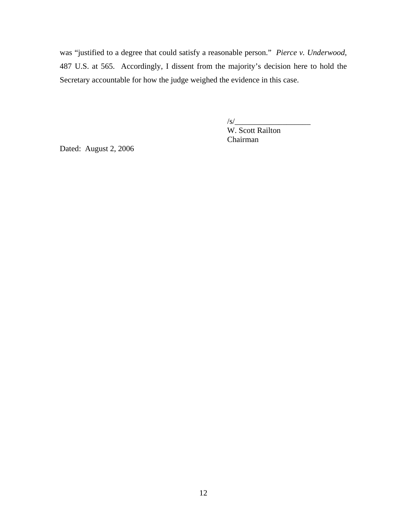was "justified to a degree that could satisfy a reasonable person." *Pierce v. Underwood*, 487 U.S. at 565. Accordingly, I dissent from the majority's decision here to hold the Secretary accountable for how the judge weighed the evidence in this case.

 $\sqrt{s/$ W. Scott Railton Chairman

Dated: August 2, 2006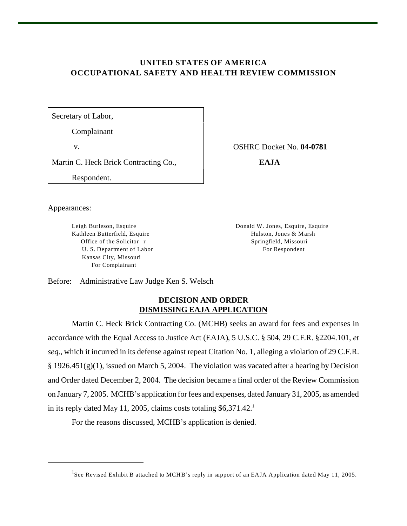# **UNITED STATES OF AMERICA OCCUPATIONAL SAFETY AND HEALTH REVIEW COMMISSION**

Secretary of Labor,

Complainant

v. OSHRC Docket No. **04-0781**

Martin C. Heck Brick Contracting Co., **EAJA**

Respondent.

Leigh Burleson, Esquire Donald W. Jones, Esquire, Esquire Kathleen Butterfield, Esquire **Hulston, Jones & Marsh** Office of the Solicitor r Springfield, Missouri

Appearances:

U. S. Department of Labor For Respondent Kansas City, Missouri For Complainant

Before: Administrative Law Judge Ken S. Welsch

## **DECISION AND ORDER DISMISSING EAJA APPLICATION**

Martin C. Heck Brick Contracting Co. (MCHB) seeks an award for fees and expenses in accordance with the Equal Access to Justice Act (EAJA), 5 U.S.C. § 504, 29 C.F.R. §2204.101, *et seq*., which it incurred in its defense against repeat Citation No. 1, alleging a violation of 29 C.F.R.  $\S 1926.451(g)(1)$ , issued on March 5, 2004. The violation was vacated after a hearing by Decision and Order dated December 2, 2004. The decision became a final order of the Review Commission on January 7, 2005. MCHB's application for fees and expenses, dated January 31, 2005, as amended in its reply dated May 11, 2005, claims costs totaling \$6,371.42.<sup>1</sup>

For the reasons discussed, MCHB's application is denied.

<sup>&</sup>lt;sup>1</sup>See Revised Exhibit B attached to MCHB's reply in support of an EAJA Application dated May 11, 2005.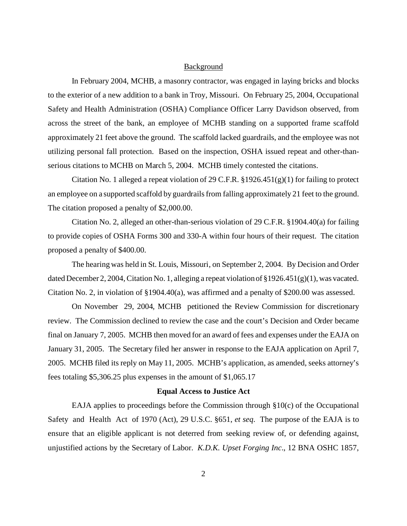#### Background

In February 2004, MCHB, a masonry contractor, was engaged in laying bricks and blocks to the exterior of a new addition to a bank in Troy, Missouri. On February 25, 2004, Occupational Safety and Health Administration (OSHA) Compliance Officer Larry Davidson observed, from across the street of the bank, an employee of MCHB standing on a supported frame scaffold approximately 21 feet above the ground. The scaffold lacked guardrails, and the employee was not utilizing personal fall protection. Based on the inspection, OSHA issued repeat and other-thanserious citations to MCHB on March 5, 2004. MCHB timely contested the citations.

Citation No. 1 alleged a repeat violation of 29 C.F.R. §1926.451(g)(1) for failing to protect an employee on a supported scaffold by guardrails from falling approximately 21 feet to the ground. The citation proposed a penalty of \$2,000.00.

Citation No. 2, alleged an other-than-serious violation of 29 C.F.R. §1904.40(a) for failing to provide copies of OSHA Forms 300 and 330-A within four hours of their request. The citation proposed a penalty of \$400.00.

The hearing was held in St. Louis, Missouri, on September 2, 2004. By Decision and Order dated December 2, 2004, Citation No. 1, alleging a repeat violation of  $\S 1926.451(g)(1)$ , was vacated. Citation No. 2, in violation of §1904.40(a), was affirmed and a penalty of \$200.00 was assessed.

On November 29, 2004, MCHB petitioned the Review Commission for discretionary review. The Commission declined to review the case and the court's Decision and Order became final on January 7, 2005. MCHB then moved for an award of fees and expenses under the EAJA on January 31, 2005. The Secretary filed her answer in response to the EAJA application on April 7, 2005. MCHB filed its reply on May 11, 2005. MCHB's application, as amended, seeks attorney's fees totaling \$5,306.25 plus expenses in the amount of \$1,065.17

### **Equal Access to Justice Act**

EAJA applies to proceedings before the Commission through §10(c) of the Occupational Safety and Health Act of 1970 (Act), 29 U.S.C. §651, *et seq*. The purpose of the EAJA is to ensure that an eligible applicant is not deterred from seeking review of, or defending against, unjustified actions by the Secretary of Labor. *K.D.K. Upset Forging Inc*., 12 BNA OSHC 1857,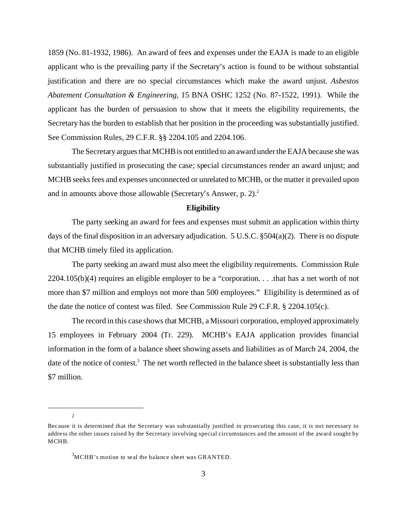1859 (No. 81-1932, 1986). An award of fees and expenses under the EAJA is made to an eligible applicant who is the prevailing party if the Secretary's action is found to be without substantial justification and there are no special circumstances which make the award unjust. *Asbestos Abatement Consultation & Engineering*, 15 BNA OSHC 1252 (No. 87-1522, 1991). While the applicant has the burden of persuasion to show that it meets the eligibility requirements, the Secretary has the burden to establish that her position in the proceeding was substantially justified. See Commission Rules, 29 C.F.R. §§ 2204.105 and 2204.106.

The Secretary argues that MCHB is not entitled to an award under the EAJA because she was substantially justified in prosecuting the case; special circumstances render an award unjust; and MCHB seeks fees and expenses unconnected or unrelated to MCHB, or the matter it prevailed upon and in amounts above those allowable (Secretary's Answer, p. 2).2

## **Eligibility**

The party seeking an award for fees and expenses must submit an application within thirty days of the final disposition in an adversary adjudication.  $5 \text{ U.S.C. }$  \$504(a)(2). There is no dispute that MCHB timely filed its application.

The party seeking an award must also meet the eligibility requirements. Commission Rule 2204.105(b)(4) requires an eligible employer to be a "corporation. . . .that has a net worth of not more than \$7 million and employs not more than 500 employees." Eligibility is determined as of the date the notice of contest was filed. See Commission Rule 29 C.F.R. § 2204.105(c).

The record in this case shows that MCHB, a Missouri corporation, employed approximately 15 employees in February 2004 (Tr. 229). MCHB's EAJA application provides financial information in the form of a balance sheet showing assets and liabilities as of March 24, 2004, the date of the notice of contest.<sup>3</sup> The net worth reflected in the balance sheet is substantially less than \$7 million.

2

Because it is determined that the Secretary was substantially justified in prosecuting this case, it is not necessary to address the other issues raised by the Secretary involving special circumstances and the amount of the award sought by MCHB.

 $3$ MCHB's motion to seal the balance sheet was GRANTED.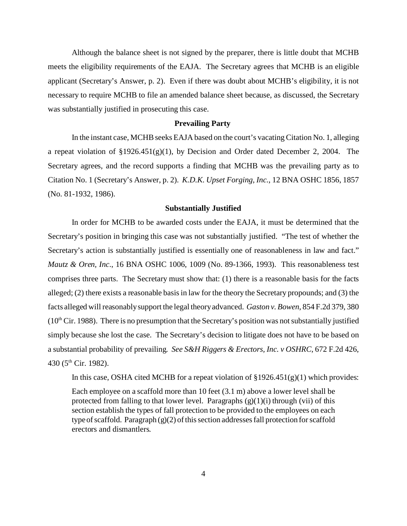Although the balance sheet is not signed by the preparer, there is little doubt that MCHB meets the eligibility requirements of the EAJA. The Secretary agrees that MCHB is an eligible applicant (Secretary's Answer, p. 2). Even if there was doubt about MCHB's eligibility, it is not necessary to require MCHB to file an amended balance sheet because, as discussed, the Secretary was substantially justified in prosecuting this case.

#### **Prevailing Party**

In the instant case, MCHB seeks EAJA based on the court's vacating Citation No. 1, alleging a repeat violation of §1926.451(g)(1), by Decision and Order dated December 2, 2004. The Secretary agrees, and the record supports a finding that MCHB was the prevailing party as to Citation No. 1 (Secretary's Answer, p. 2). *K.D.K. Upset Forging, Inc.*, 12 BNA OSHC 1856, 1857 (No. 81-1932, 1986).

### **Substantially Justified**

In order for MCHB to be awarded costs under the EAJA, it must be determined that the Secretary's position in bringing this case was not substantially justified. "The test of whether the Secretary's action is substantially justified is essentially one of reasonableness in law and fact." *Mautz & Oren, Inc*., 16 BNA OSHC 1006, 1009 (No. 89-1366, 1993). This reasonableness test comprises three parts. The Secretary must show that: (1) there is a reasonable basis for the facts alleged; (2) there exists a reasonable basis in law for the theory the Secretary propounds; and (3) the facts alleged will reasonably support the legal theory advanced. *Gaston v. Bowen*, 854 F.2d 379, 380  $(10<sup>th</sup> Cir. 1988)$ . There is no presumption that the Secretary's position was not substantially justified simply because she lost the case. The Secretary's decision to litigate does not have to be based on a substantial probability of prevailing. *See S&H Riggers & Erectors, Inc. v OSHRC*, 672 F.2d 426, 430 (5<sup>th</sup> Cir. 1982).

In this case, OSHA cited MCHB for a repeat violation of  $\S 1926.451(g)(1)$  which provides:

Each employee on a scaffold more than 10 feet (3.1 m) above a lower level shall be protected from falling to that lower level. Paragraphs  $(g)(1)(i)$  through (vii) of this section establish the types of fall protection to be provided to the employees on each type of scaffold. Paragraph (g)(2) of this section addresses fall protection for scaffold erectors and dismantlers.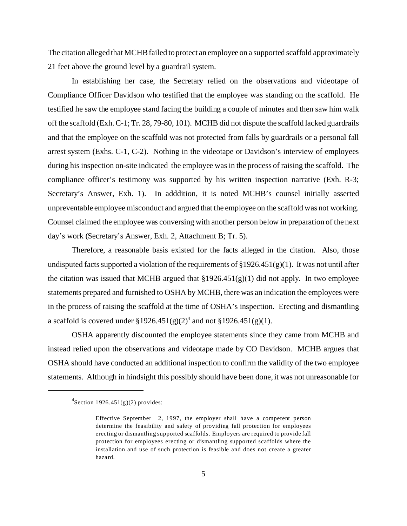The citation alleged that MCHB failed to protect an employee on a supported scaffold approximately 21 feet above the ground level by a guardrail system.

In establishing her case, the Secretary relied on the observations and videotape of Compliance Officer Davidson who testified that the employee was standing on the scaffold. He testified he saw the employee stand facing the building a couple of minutes and then saw him walk off the scaffold (Exh. C-1; Tr. 28, 79-80, 101). MCHB did not dispute the scaffold lacked guardrails and that the employee on the scaffold was not protected from falls by guardrails or a personal fall arrest system (Exhs. C-1, C-2). Nothing in the videotape or Davidson's interview of employees during his inspection on-site indicated the employee was in the process of raising the scaffold. The compliance officer's testimony was supported by his written inspection narrative (Exh. R-3; Secretary's Answer, Exh. 1). In adddition, it is noted MCHB's counsel initially asserted unpreventable employee misconduct and argued that the employee on the scaffold was not working. Counsel claimed the employee was conversing with another person below in preparation of the next day's work (Secretary's Answer, Exh. 2, Attachment B; Tr. 5).

Therefore, a reasonable basis existed for the facts alleged in the citation. Also, those undisputed facts supported a violation of the requirements of  $\S 1926.451(g)(1)$ . It was not until after the citation was issued that MCHB argued that  $\S 1926.451(g)(1)$  did not apply. In two employee statements prepared and furnished to OSHA by MCHB, there was an indication the employees were in the process of raising the scaffold at the time of OSHA's inspection. Erecting and dismantling a scaffold is covered under  $\S 1926.451(g)(2)^4$  and not  $\S 1926.451(g)(1)$ .

OSHA apparently discounted the employee statements since they came from MCHB and instead relied upon the observations and videotape made by CO Davidson. MCHB argues that OSHA should have conducted an additional inspection to confirm the validity of the two employee statements. Although in hindsight this possibly should have been done, it was not unreasonable for

 $4$ Section 1926.451(g)(2) provides:

Effective September 2, 1997, the employer shall have a competent person determine the feasibility and safety of providing fall protection for employees erecting or dismantling supported scaffolds. Employers are required to provide fall protection for employees erecting or dismantling supported scaffolds where the installation and use of such protection is feasible and does not create a greater hazard.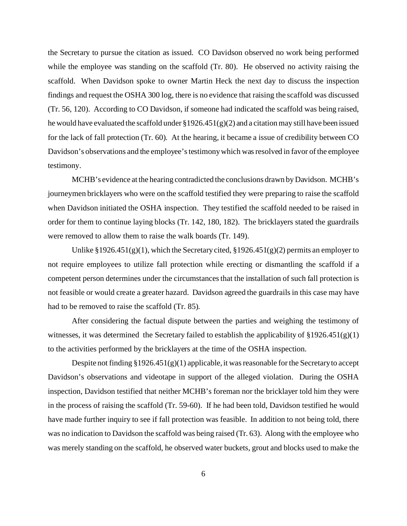the Secretary to pursue the citation as issued. CO Davidson observed no work being performed while the employee was standing on the scaffold (Tr. 80). He observed no activity raising the scaffold. When Davidson spoke to owner Martin Heck the next day to discuss the inspection findings and request the OSHA 300 log, there is no evidence that raising the scaffold was discussed (Tr. 56, 120). According to CO Davidson, if someone had indicated the scaffold was being raised, he would have evaluated the scaffold under  $\S 1926.451(g)(2)$  and a citation may still have been issued for the lack of fall protection (Tr. 60). At the hearing, it became a issue of credibility between CO Davidson's observations and the employee's testimony which was resolved in favor of the employee testimony.

MCHB's evidence at the hearing contradicted the conclusions drawn by Davidson. MCHB's journeymen bricklayers who were on the scaffold testified they were preparing to raise the scaffold when Davidson initiated the OSHA inspection. They testified the scaffold needed to be raised in order for them to continue laying blocks (Tr. 142, 180, 182). The bricklayers stated the guardrails were removed to allow them to raise the walk boards (Tr. 149).

Unlike §1926.451(g)(1), which the Secretary cited, §1926.451(g)(2) permits an employer to not require employees to utilize fall protection while erecting or dismantling the scaffold if a competent person determines under the circumstances that the installation of such fall protection is not feasible or would create a greater hazard. Davidson agreed the guardrails in this case may have had to be removed to raise the scaffold (Tr. 85).

After considering the factual dispute between the parties and weighing the testimony of witnesses, it was determined the Secretary failed to establish the applicability of  $\S 1926.451(g)(1)$ to the activities performed by the bricklayers at the time of the OSHA inspection.

Despite not finding §1926.451(g)(1) applicable, it was reasonable for the Secretary to accept Davidson's observations and videotape in support of the alleged violation. During the OSHA inspection, Davidson testified that neither MCHB's foreman nor the bricklayer told him they were in the process of raising the scaffold (Tr. 59-60). If he had been told, Davidson testified he would have made further inquiry to see if fall protection was feasible. In addition to not being told, there was no indication to Davidson the scaffold was being raised (Tr. 63). Along with the employee who was merely standing on the scaffold, he observed water buckets, grout and blocks used to make the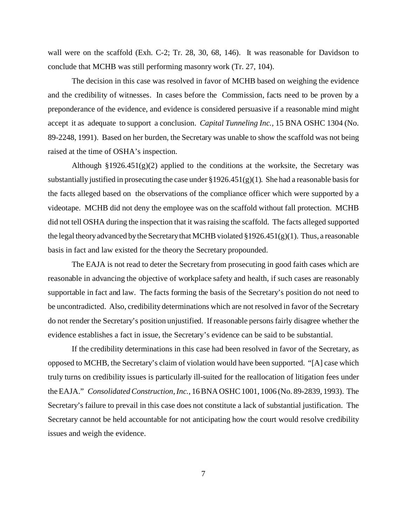wall were on the scaffold (Exh. C-2; Tr. 28, 30, 68, 146). It was reasonable for Davidson to conclude that MCHB was still performing masonry work (Tr. 27, 104).

The decision in this case was resolved in favor of MCHB based on weighing the evidence and the credibility of witnesses. In cases before the Commission, facts need to be proven by a preponderance of the evidence, and evidence is considered persuasive if a reasonable mind might accept it as adequate to support a conclusion. *Capital Tunneling Inc.,* 15 BNA OSHC 1304 (No. 89-2248, 1991). Based on her burden, the Secretary was unable to show the scaffold was not being raised at the time of OSHA's inspection.

Although  $\S 1926.451(g)(2)$  applied to the conditions at the worksite, the Secretary was substantially justified in prosecuting the case under  $\S 1926.451(g)(1)$ . She had a reasonable basis for the facts alleged based on the observations of the compliance officer which were supported by a videotape. MCHB did not deny the employee was on the scaffold without fall protection. MCHB did not tell OSHA during the inspection that it was raising the scaffold. The facts alleged supported the legal theory advanced by the Secretary that MCHB violated  $\S 1926.451(g)(1)$ . Thus, a reasonable basis in fact and law existed for the theory the Secretary propounded.

The EAJA is not read to deter the Secretary from prosecuting in good faith cases which are reasonable in advancing the objective of workplace safety and health, if such cases are reasonably supportable in fact and law. The facts forming the basis of the Secretary's position do not need to be uncontradicted. Also, credibility determinations which are not resolved in favor of the Secretary do not render the Secretary's position unjustified. If reasonable persons fairly disagree whether the evidence establishes a fact in issue, the Secretary's evidence can be said to be substantial.

If the credibility determinations in this case had been resolved in favor of the Secretary, as opposed to MCHB, the Secretary's claim of violation would have been supported. "[A] case which truly turns on credibility issues is particularly ill-suited for the reallocation of litigation fees under the EAJA." *Consolidated Construction, Inc.,* 16 BNA OSHC 1001, 1006 (No. 89-2839, 1993). The Secretary's failure to prevail in this case does not constitute a lack of substantial justification. The Secretary cannot be held accountable for not anticipating how the court would resolve credibility issues and weigh the evidence.